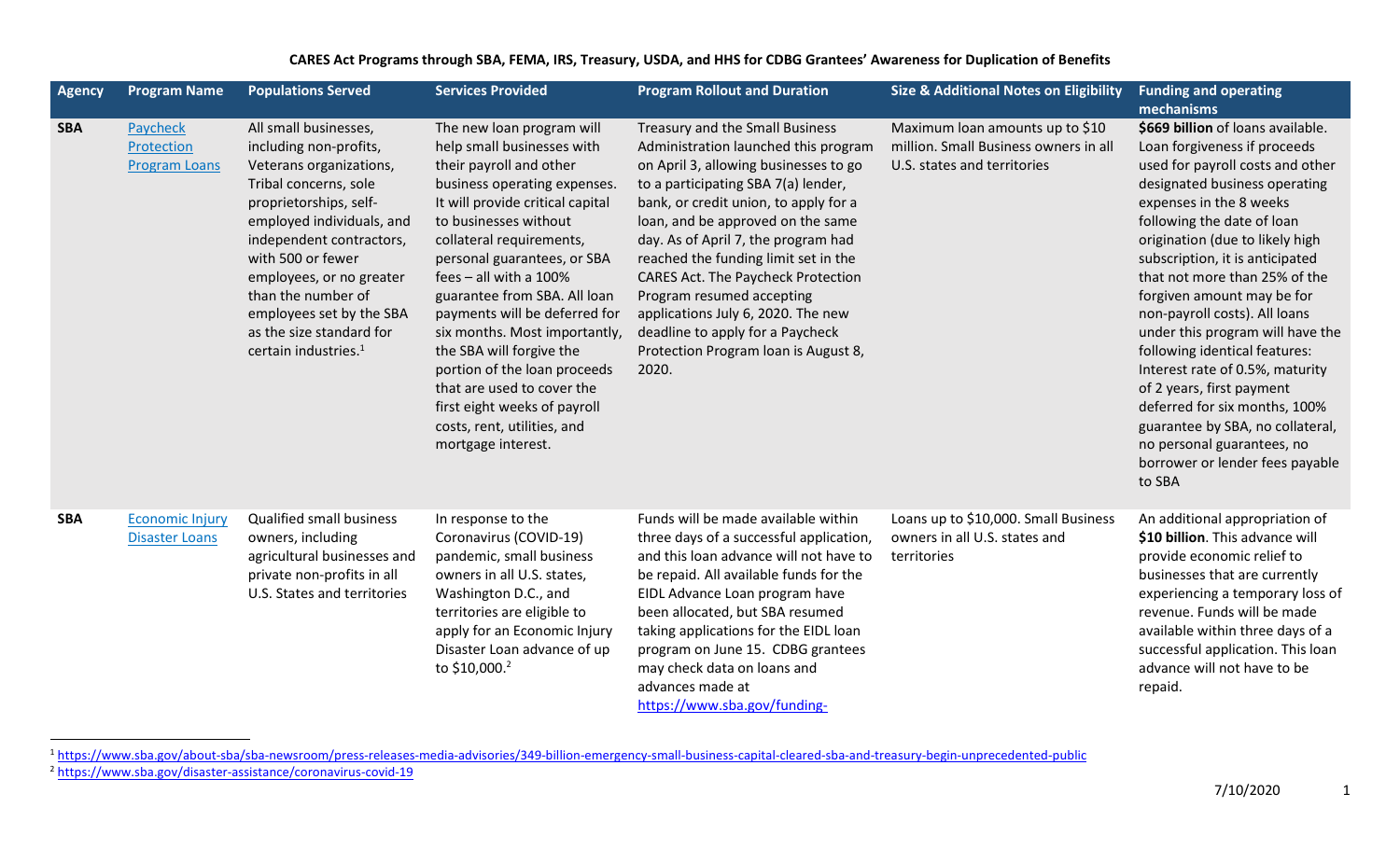## **CARES Act Programs through SBA, FEMA, IRS, Treasury, USDA, and HHS for CDBG Grantees' Awareness for Duplication of Benefits**

| <b>Agency</b> | <b>Program Name</b>                             | <b>Populations Served</b>                                                                                                                                                                                                                                                                                                                                 | <b>Services Provided</b>                                                                                                                                                                                                                                                                                                                                                                                                                                                                                                                                | <b>Program Rollout and Duration</b>                                                                                                                                                                                                                                                                                                                                                                                                                                                                                       | <b>Size &amp; Additional Notes on Eligibility</b>                                                       | <b>Funding and operating</b><br>mechanisms                                                                                                                                                                                                                                                                                                                                                                                                                                                                                                                                                                                                                 |
|---------------|-------------------------------------------------|-----------------------------------------------------------------------------------------------------------------------------------------------------------------------------------------------------------------------------------------------------------------------------------------------------------------------------------------------------------|---------------------------------------------------------------------------------------------------------------------------------------------------------------------------------------------------------------------------------------------------------------------------------------------------------------------------------------------------------------------------------------------------------------------------------------------------------------------------------------------------------------------------------------------------------|---------------------------------------------------------------------------------------------------------------------------------------------------------------------------------------------------------------------------------------------------------------------------------------------------------------------------------------------------------------------------------------------------------------------------------------------------------------------------------------------------------------------------|---------------------------------------------------------------------------------------------------------|------------------------------------------------------------------------------------------------------------------------------------------------------------------------------------------------------------------------------------------------------------------------------------------------------------------------------------------------------------------------------------------------------------------------------------------------------------------------------------------------------------------------------------------------------------------------------------------------------------------------------------------------------------|
| <b>SBA</b>    | Paycheck<br>Protection<br><b>Program Loans</b>  | All small businesses,<br>including non-profits,<br>Veterans organizations,<br>Tribal concerns, sole<br>proprietorships, self-<br>employed individuals, and<br>independent contractors,<br>with 500 or fewer<br>employees, or no greater<br>than the number of<br>employees set by the SBA<br>as the size standard for<br>certain industries. <sup>1</sup> | The new loan program will<br>help small businesses with<br>their payroll and other<br>business operating expenses.<br>It will provide critical capital<br>to businesses without<br>collateral requirements,<br>personal guarantees, or SBA<br>fees $-$ all with a 100%<br>guarantee from SBA. All loan<br>payments will be deferred for<br>six months. Most importantly,<br>the SBA will forgive the<br>portion of the loan proceeds<br>that are used to cover the<br>first eight weeks of payroll<br>costs, rent, utilities, and<br>mortgage interest. | Treasury and the Small Business<br>Administration launched this program<br>on April 3, allowing businesses to go<br>to a participating SBA 7(a) lender,<br>bank, or credit union, to apply for a<br>loan, and be approved on the same<br>day. As of April 7, the program had<br>reached the funding limit set in the<br><b>CARES Act. The Paycheck Protection</b><br>Program resumed accepting<br>applications July 6, 2020. The new<br>deadline to apply for a Paycheck<br>Protection Program Ioan is August 8,<br>2020. | Maximum loan amounts up to \$10<br>million. Small Business owners in all<br>U.S. states and territories | \$669 billion of loans available.<br>Loan forgiveness if proceeds<br>used for payroll costs and other<br>designated business operating<br>expenses in the 8 weeks<br>following the date of loan<br>origination (due to likely high<br>subscription, it is anticipated<br>that not more than 25% of the<br>forgiven amount may be for<br>non-payroll costs). All loans<br>under this program will have the<br>following identical features:<br>Interest rate of 0.5%, maturity<br>of 2 years, first payment<br>deferred for six months, 100%<br>guarantee by SBA, no collateral,<br>no personal guarantees, no<br>borrower or lender fees payable<br>to SBA |
| <b>SBA</b>    | <b>Economic Injury</b><br><b>Disaster Loans</b> | <b>Qualified small business</b><br>owners, including<br>agricultural businesses and<br>private non-profits in all<br>U.S. States and territories                                                                                                                                                                                                          | In response to the<br>Coronavirus (COVID-19)<br>pandemic, small business<br>owners in all U.S. states,<br>Washington D.C., and<br>territories are eligible to<br>apply for an Economic Injury<br>Disaster Loan advance of up<br>to \$10,000.2                                                                                                                                                                                                                                                                                                           | Funds will be made available within<br>three days of a successful application,<br>and this loan advance will not have to<br>be repaid. All available funds for the<br>EIDL Advance Loan program have<br>been allocated, but SBA resumed<br>taking applications for the EIDL loan<br>program on June 15. CDBG grantees<br>may check data on loans and<br>advances made at<br>https://www.sba.gov/funding-                                                                                                                  | Loans up to \$10,000. Small Business<br>owners in all U.S. states and<br>territories                    | An additional appropriation of<br>\$10 billion. This advance will<br>provide economic relief to<br>businesses that are currently<br>experiencing a temporary loss of<br>revenue. Funds will be made<br>available within three days of a<br>successful application. This loan<br>advance will not have to be<br>repaid.                                                                                                                                                                                                                                                                                                                                     |

<sup>&</sup>lt;sup>1</sup><https://www.sba.gov/about-sba/sba-newsroom/press-releases-media-advisories/349-billion-emergency-small-business-capital-cleared-sba-and-treasury-begin-unprecedented-public>

<sup>&</sup>lt;sup>2</sup> <https://www.sba.gov/disaster-assistance/coronavirus-covid-19>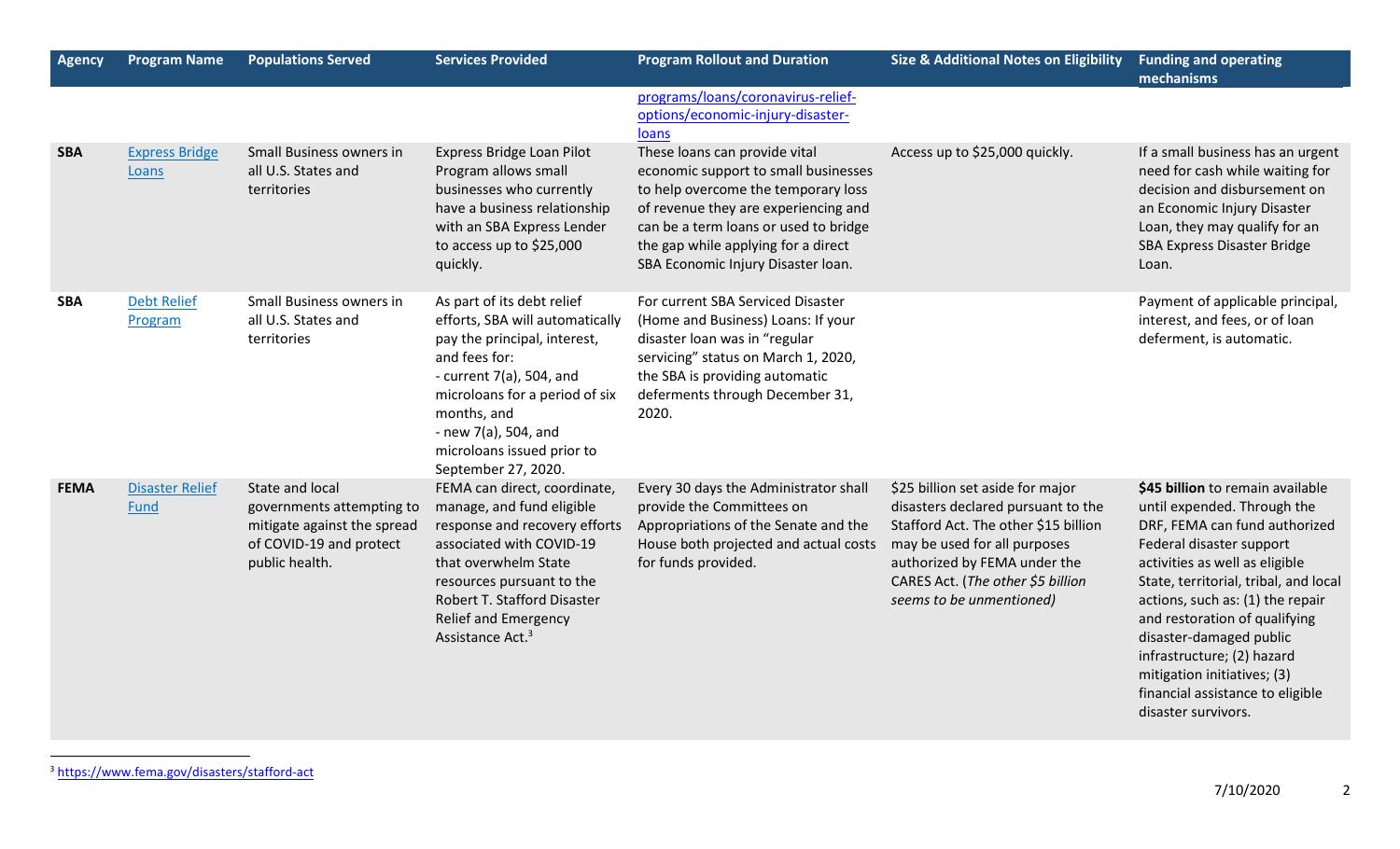| <b>Agency</b> | <b>Program Name</b>            | <b>Populations Served</b>                                                                                                | <b>Services Provided</b>                                                                                                                                                                                                                                                       | <b>Program Rollout and Duration</b>                                                                                                                                                                                                                                        | <b>Size &amp; Additional Notes on Eligibility</b>                                                                                                                                                                                               | <b>Funding and operating</b><br>mechanisms                                                                                                                                                                                                                                                                                                                                                                                      |
|---------------|--------------------------------|--------------------------------------------------------------------------------------------------------------------------|--------------------------------------------------------------------------------------------------------------------------------------------------------------------------------------------------------------------------------------------------------------------------------|----------------------------------------------------------------------------------------------------------------------------------------------------------------------------------------------------------------------------------------------------------------------------|-------------------------------------------------------------------------------------------------------------------------------------------------------------------------------------------------------------------------------------------------|---------------------------------------------------------------------------------------------------------------------------------------------------------------------------------------------------------------------------------------------------------------------------------------------------------------------------------------------------------------------------------------------------------------------------------|
|               |                                |                                                                                                                          |                                                                                                                                                                                                                                                                                | programs/loans/coronavirus-relief-<br>options/economic-injury-disaster-<br>loans                                                                                                                                                                                           |                                                                                                                                                                                                                                                 |                                                                                                                                                                                                                                                                                                                                                                                                                                 |
| <b>SBA</b>    | <b>Express Bridge</b><br>Loans | Small Business owners in<br>all U.S. States and<br>territories                                                           | Express Bridge Loan Pilot<br>Program allows small<br>businesses who currently<br>have a business relationship<br>with an SBA Express Lender<br>to access up to \$25,000<br>quickly.                                                                                            | These loans can provide vital<br>economic support to small businesses<br>to help overcome the temporary loss<br>of revenue they are experiencing and<br>can be a term loans or used to bridge<br>the gap while applying for a direct<br>SBA Economic Injury Disaster Ioan. | Access up to \$25,000 quickly.                                                                                                                                                                                                                  | If a small business has an urgent<br>need for cash while waiting for<br>decision and disbursement on<br>an Economic Injury Disaster<br>Loan, they may qualify for an<br><b>SBA Express Disaster Bridge</b><br>Loan.                                                                                                                                                                                                             |
| <b>SBA</b>    | <b>Debt Relief</b><br>Program  | Small Business owners in<br>all U.S. States and<br>territories                                                           | As part of its debt relief<br>efforts, SBA will automatically<br>pay the principal, interest,<br>and fees for:<br>- current $7(a)$ , 504, and<br>microloans for a period of six<br>months, and<br>- new $7(a)$ , 504, and<br>microloans issued prior to<br>September 27, 2020. | For current SBA Serviced Disaster<br>(Home and Business) Loans: If your<br>disaster loan was in "regular<br>servicing" status on March 1, 2020,<br>the SBA is providing automatic<br>deferments through December 31,<br>2020.                                              |                                                                                                                                                                                                                                                 | Payment of applicable principal,<br>interest, and fees, or of loan<br>deferment, is automatic.                                                                                                                                                                                                                                                                                                                                  |
| <b>FEMA</b>   | <b>Disaster Relief</b><br>Fund | State and local<br>governments attempting to<br>mitigate against the spread<br>of COVID-19 and protect<br>public health. | FEMA can direct, coordinate,<br>manage, and fund eligible<br>response and recovery efforts<br>associated with COVID-19<br>that overwhelm State<br>resources pursuant to the<br>Robert T. Stafford Disaster<br><b>Relief and Emergency</b><br>Assistance Act. <sup>3</sup>      | Every 30 days the Administrator shall<br>provide the Committees on<br>Appropriations of the Senate and the<br>House both projected and actual costs<br>for funds provided.                                                                                                 | \$25 billion set aside for major<br>disasters declared pursuant to the<br>Stafford Act. The other \$15 billion<br>may be used for all purposes<br>authorized by FEMA under the<br>CARES Act. (The other \$5 billion<br>seems to be unmentioned) | \$45 billion to remain available<br>until expended. Through the<br>DRF, FEMA can fund authorized<br>Federal disaster support<br>activities as well as eligible<br>State, territorial, tribal, and local<br>actions, such as: (1) the repair<br>and restoration of qualifying<br>disaster-damaged public<br>infrastructure; (2) hazard<br>mitigation initiatives; (3)<br>financial assistance to eligible<br>disaster survivors. |

<sup>3</sup> <https://www.fema.gov/disasters/stafford-act>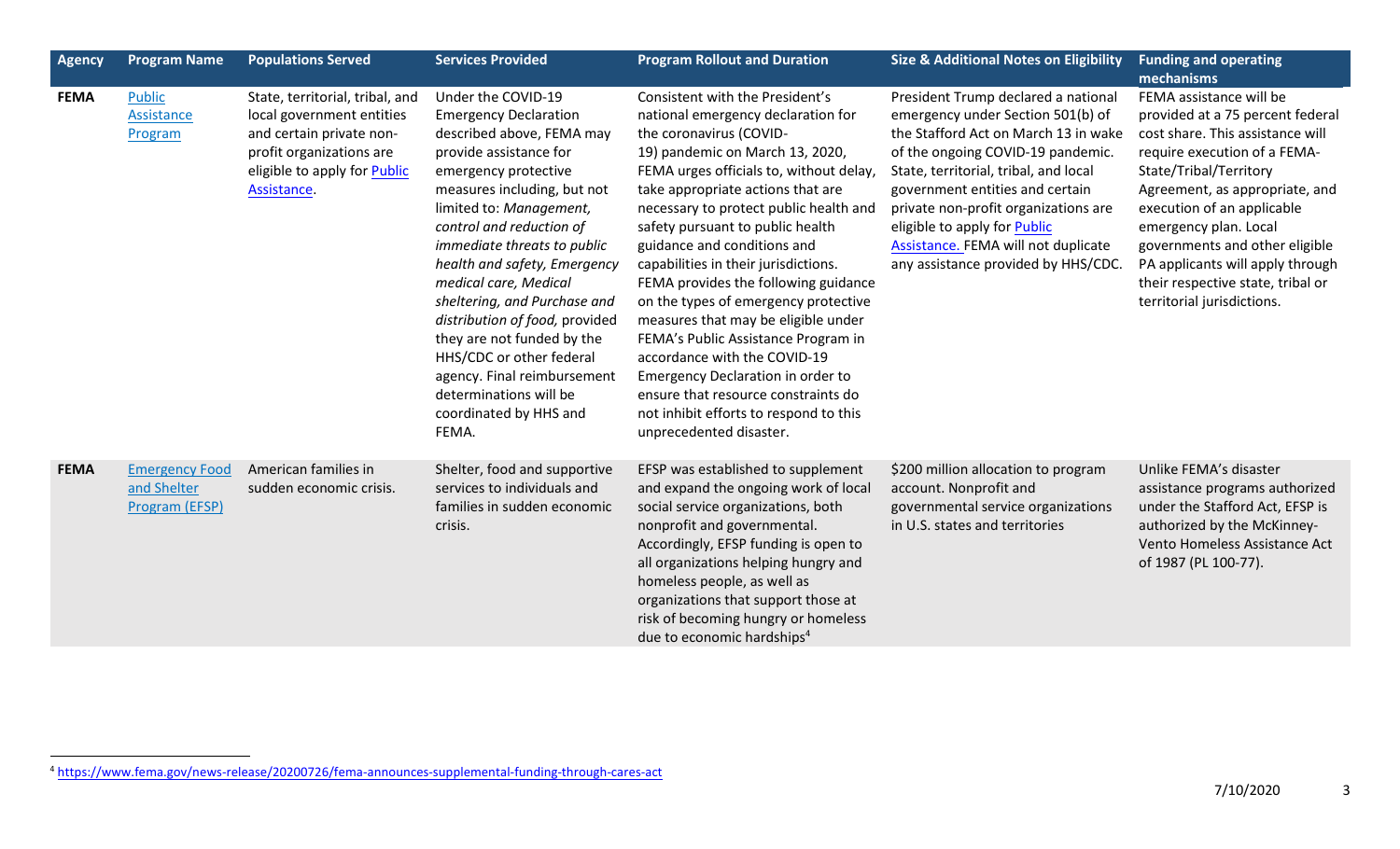| <b>Agency</b> | <b>Program Name</b>                                    | <b>Populations Served</b>                                                                                                                                                  | <b>Services Provided</b>                                                                                                                                                                                                                                                                                                                                                                                                                                                                                                                | <b>Program Rollout and Duration</b>                                                                                                                                                                                                                                                                                                                                                                                                                                                                                                                                                                                                                                                                                     | <b>Size &amp; Additional Notes on Eligibility</b>                                                                                                                                                                                                                                                                                                                                       | <b>Funding and operating</b><br>mechanisms                                                                                                                                                                                                                                                                                                                                                  |
|---------------|--------------------------------------------------------|----------------------------------------------------------------------------------------------------------------------------------------------------------------------------|-----------------------------------------------------------------------------------------------------------------------------------------------------------------------------------------------------------------------------------------------------------------------------------------------------------------------------------------------------------------------------------------------------------------------------------------------------------------------------------------------------------------------------------------|-------------------------------------------------------------------------------------------------------------------------------------------------------------------------------------------------------------------------------------------------------------------------------------------------------------------------------------------------------------------------------------------------------------------------------------------------------------------------------------------------------------------------------------------------------------------------------------------------------------------------------------------------------------------------------------------------------------------------|-----------------------------------------------------------------------------------------------------------------------------------------------------------------------------------------------------------------------------------------------------------------------------------------------------------------------------------------------------------------------------------------|---------------------------------------------------------------------------------------------------------------------------------------------------------------------------------------------------------------------------------------------------------------------------------------------------------------------------------------------------------------------------------------------|
| <b>FEMA</b>   | <b>Public</b><br>Assistance<br>Program                 | State, territorial, tribal, and<br>local government entities<br>and certain private non-<br>profit organizations are<br>eligible to apply for <b>Public</b><br>Assistance. | Under the COVID-19<br><b>Emergency Declaration</b><br>described above, FEMA may<br>provide assistance for<br>emergency protective<br>measures including, but not<br>limited to: Management,<br>control and reduction of<br>immediate threats to public<br>health and safety, Emergency<br>medical care, Medical<br>sheltering, and Purchase and<br>distribution of food, provided<br>they are not funded by the<br>HHS/CDC or other federal<br>agency. Final reimbursement<br>determinations will be<br>coordinated by HHS and<br>FEMA. | Consistent with the President's<br>national emergency declaration for<br>the coronavirus (COVID-<br>19) pandemic on March 13, 2020,<br>FEMA urges officials to, without delay,<br>take appropriate actions that are<br>necessary to protect public health and<br>safety pursuant to public health<br>guidance and conditions and<br>capabilities in their jurisdictions.<br>FEMA provides the following guidance<br>on the types of emergency protective<br>measures that may be eligible under<br>FEMA's Public Assistance Program in<br>accordance with the COVID-19<br>Emergency Declaration in order to<br>ensure that resource constraints do<br>not inhibit efforts to respond to this<br>unprecedented disaster. | President Trump declared a national<br>emergency under Section 501(b) of<br>the Stafford Act on March 13 in wake<br>of the ongoing COVID-19 pandemic.<br>State, territorial, tribal, and local<br>government entities and certain<br>private non-profit organizations are<br>eligible to apply for Public<br>Assistance. FEMA will not duplicate<br>any assistance provided by HHS/CDC. | FEMA assistance will be<br>provided at a 75 percent federal<br>cost share. This assistance will<br>require execution of a FEMA-<br>State/Tribal/Territory<br>Agreement, as appropriate, and<br>execution of an applicable<br>emergency plan. Local<br>governments and other eligible<br>PA applicants will apply through<br>their respective state, tribal or<br>territorial jurisdictions. |
| <b>FEMA</b>   | <b>Emergency Food</b><br>and Shelter<br>Program (EFSP) | American families in<br>sudden economic crisis.                                                                                                                            | Shelter, food and supportive<br>services to individuals and<br>families in sudden economic<br>crisis.                                                                                                                                                                                                                                                                                                                                                                                                                                   | EFSP was established to supplement<br>and expand the ongoing work of local<br>social service organizations, both<br>nonprofit and governmental.<br>Accordingly, EFSP funding is open to<br>all organizations helping hungry and<br>homeless people, as well as<br>organizations that support those at<br>risk of becoming hungry or homeless<br>due to economic hardships <sup>4</sup>                                                                                                                                                                                                                                                                                                                                  | \$200 million allocation to program<br>account. Nonprofit and<br>governmental service organizations<br>in U.S. states and territories                                                                                                                                                                                                                                                   | Unlike FEMA's disaster<br>assistance programs authorized<br>under the Stafford Act, EFSP is<br>authorized by the McKinney-<br>Vento Homeless Assistance Act<br>of 1987 (PL 100-77).                                                                                                                                                                                                         |

<sup>4</sup> <https://www.fema.gov/news-release/20200726/fema-announces-supplemental-funding-through-cares-act>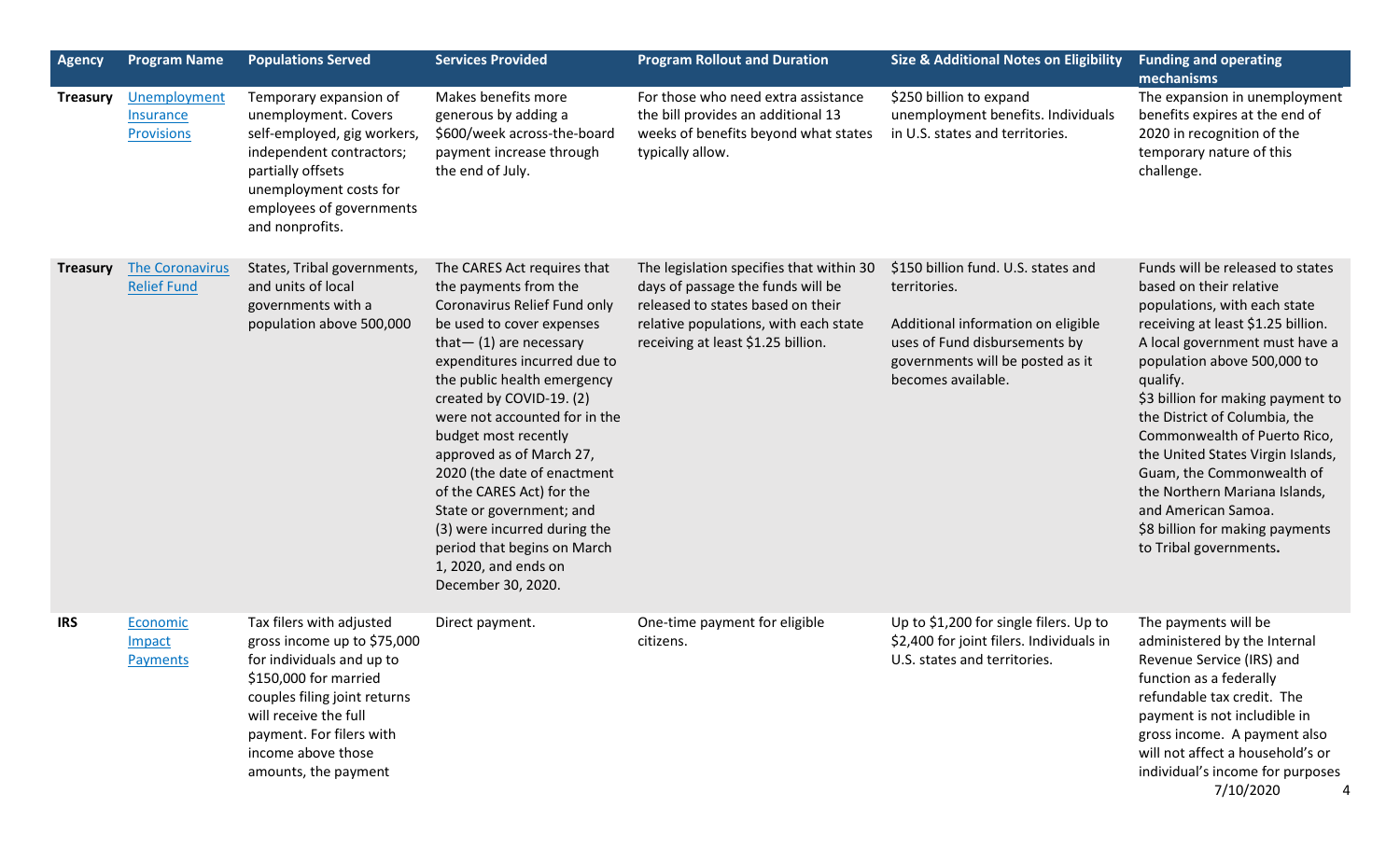| <b>Agency</b>   | <b>Program Name</b>                            | <b>Populations Served</b>                                                                                                                                                                                                                        | <b>Services Provided</b>                                                                                                                                                                                                                                                                                                                                                                                                                                                                                                             | <b>Program Rollout and Duration</b>                                                                                                                                                               | <b>Size &amp; Additional Notes on Eligibility</b>                                                                                                                                    | <b>Funding and operating</b><br>mechanisms                                                                                                                                                                                                                                                                                                                                                                                                                                                                  |
|-----------------|------------------------------------------------|--------------------------------------------------------------------------------------------------------------------------------------------------------------------------------------------------------------------------------------------------|--------------------------------------------------------------------------------------------------------------------------------------------------------------------------------------------------------------------------------------------------------------------------------------------------------------------------------------------------------------------------------------------------------------------------------------------------------------------------------------------------------------------------------------|---------------------------------------------------------------------------------------------------------------------------------------------------------------------------------------------------|--------------------------------------------------------------------------------------------------------------------------------------------------------------------------------------|-------------------------------------------------------------------------------------------------------------------------------------------------------------------------------------------------------------------------------------------------------------------------------------------------------------------------------------------------------------------------------------------------------------------------------------------------------------------------------------------------------------|
| <b>Treasury</b> | Unemployment<br>Insurance<br><b>Provisions</b> | Temporary expansion of<br>unemployment. Covers<br>self-employed, gig workers,<br>independent contractors;<br>partially offsets<br>unemployment costs for<br>employees of governments<br>and nonprofits.                                          | Makes benefits more<br>generous by adding a<br>\$600/week across-the-board<br>payment increase through<br>the end of July.                                                                                                                                                                                                                                                                                                                                                                                                           | For those who need extra assistance<br>the bill provides an additional 13<br>weeks of benefits beyond what states<br>typically allow.                                                             | \$250 billion to expand<br>unemployment benefits. Individuals<br>in U.S. states and territories.                                                                                     | The expansion in unemployment<br>benefits expires at the end of<br>2020 in recognition of the<br>temporary nature of this<br>challenge.                                                                                                                                                                                                                                                                                                                                                                     |
| <b>Treasury</b> | <b>The Coronavirus</b><br><b>Relief Fund</b>   | States, Tribal governments,<br>and units of local<br>governments with a<br>population above 500,000                                                                                                                                              | The CARES Act requires that<br>the payments from the<br>Coronavirus Relief Fund only<br>be used to cover expenses<br>that $-$ (1) are necessary<br>expenditures incurred due to<br>the public health emergency<br>created by COVID-19. (2)<br>were not accounted for in the<br>budget most recently<br>approved as of March 27,<br>2020 (the date of enactment<br>of the CARES Act) for the<br>State or government; and<br>(3) were incurred during the<br>period that begins on March<br>1, 2020, and ends on<br>December 30, 2020. | The legislation specifies that within 30<br>days of passage the funds will be<br>released to states based on their<br>relative populations, with each state<br>receiving at least \$1.25 billion. | \$150 billion fund. U.S. states and<br>territories.<br>Additional information on eligible<br>uses of Fund disbursements by<br>governments will be posted as it<br>becomes available. | Funds will be released to states<br>based on their relative<br>populations, with each state<br>receiving at least \$1.25 billion.<br>A local government must have a<br>population above 500,000 to<br>qualify.<br>\$3 billion for making payment to<br>the District of Columbia, the<br>Commonwealth of Puerto Rico,<br>the United States Virgin Islands,<br>Guam, the Commonwealth of<br>the Northern Mariana Islands,<br>and American Samoa.<br>\$8 billion for making payments<br>to Tribal governments. |
| <b>IRS</b>      | Economic<br>Impact<br>Payments                 | Tax filers with adjusted<br>gross income up to \$75,000<br>for individuals and up to<br>\$150,000 for married<br>couples filing joint returns<br>will receive the full<br>payment. For filers with<br>income above those<br>amounts, the payment | Direct payment.                                                                                                                                                                                                                                                                                                                                                                                                                                                                                                                      | One-time payment for eligible<br>citizens.                                                                                                                                                        | Up to \$1,200 for single filers. Up to<br>\$2,400 for joint filers. Individuals in<br>U.S. states and territories.                                                                   | The payments will be<br>administered by the Internal<br>Revenue Service (IRS) and<br>function as a federally<br>refundable tax credit. The<br>payment is not includible in<br>gross income. A payment also<br>will not affect a household's or<br>individual's income for purposes<br>7/10/2020<br>4                                                                                                                                                                                                        |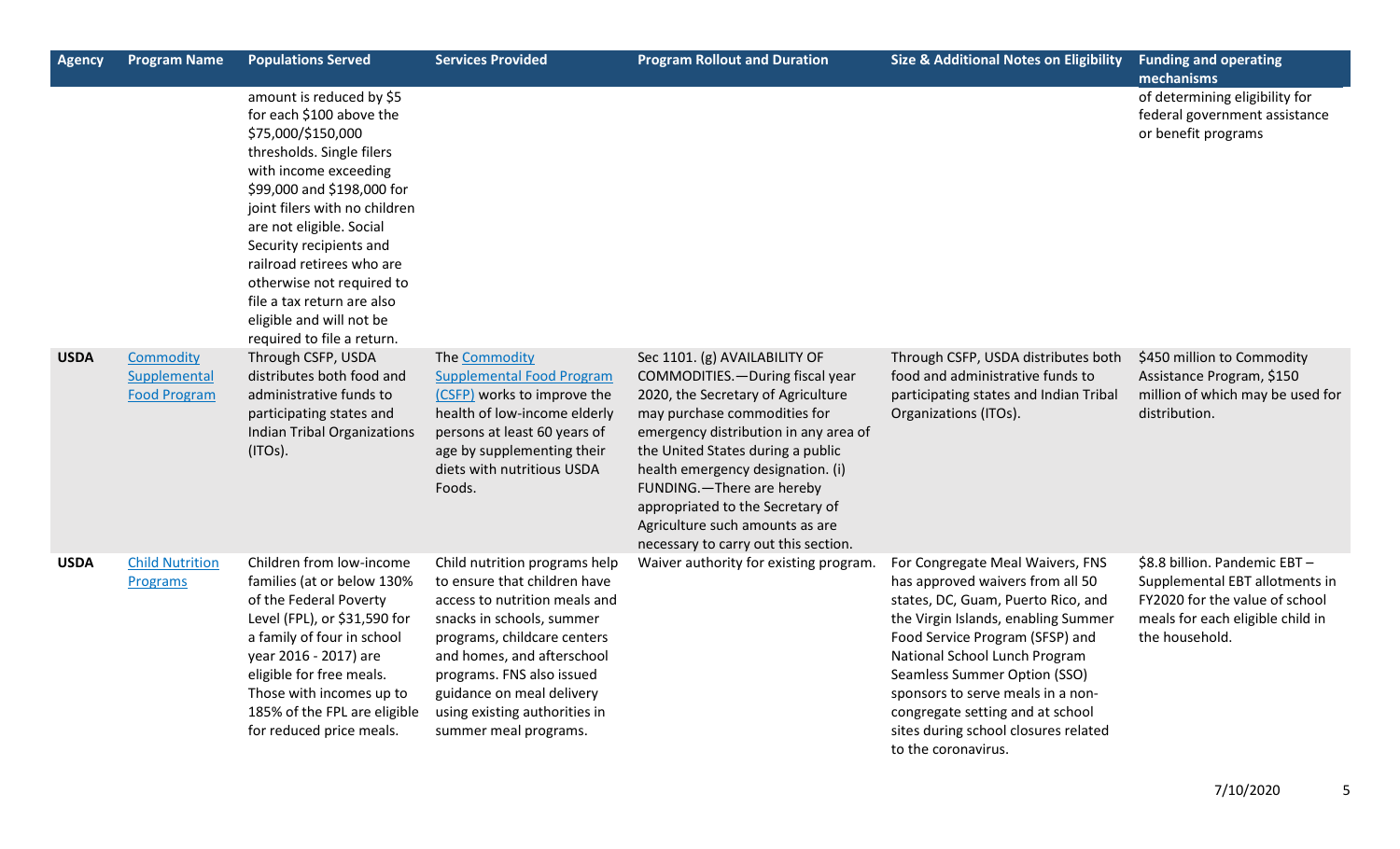| Agency      | <b>Program Name</b>                              | <b>Populations Served</b>                                                                                                                                                                                                                                                                                                                                                                                | <b>Services Provided</b>                                                                                                                                                                                                                                                                                     | <b>Program Rollout and Duration</b>                                                                                                                                                                                                                                                                                                                                                                     | <b>Size &amp; Additional Notes on Eligibility</b>                                                                                                                                                                                                                                                                                                                                             | <b>Funding and operating</b>                                                                                                                           |
|-------------|--------------------------------------------------|----------------------------------------------------------------------------------------------------------------------------------------------------------------------------------------------------------------------------------------------------------------------------------------------------------------------------------------------------------------------------------------------------------|--------------------------------------------------------------------------------------------------------------------------------------------------------------------------------------------------------------------------------------------------------------------------------------------------------------|---------------------------------------------------------------------------------------------------------------------------------------------------------------------------------------------------------------------------------------------------------------------------------------------------------------------------------------------------------------------------------------------------------|-----------------------------------------------------------------------------------------------------------------------------------------------------------------------------------------------------------------------------------------------------------------------------------------------------------------------------------------------------------------------------------------------|--------------------------------------------------------------------------------------------------------------------------------------------------------|
|             |                                                  | amount is reduced by \$5<br>for each \$100 above the<br>\$75,000/\$150,000<br>thresholds. Single filers<br>with income exceeding<br>\$99,000 and \$198,000 for<br>joint filers with no children<br>are not eligible. Social<br>Security recipients and<br>railroad retirees who are<br>otherwise not required to<br>file a tax return are also<br>eligible and will not be<br>required to file a return. |                                                                                                                                                                                                                                                                                                              |                                                                                                                                                                                                                                                                                                                                                                                                         |                                                                                                                                                                                                                                                                                                                                                                                               | mechanisms<br>of determining eligibility for<br>federal government assistance<br>or benefit programs                                                   |
| <b>USDA</b> | Commodity<br>Supplemental<br><b>Food Program</b> | Through CSFP, USDA<br>distributes both food and<br>administrative funds to<br>participating states and<br><b>Indian Tribal Organizations</b><br>(ITOS).                                                                                                                                                                                                                                                  | The Commodity<br><b>Supplemental Food Program</b><br>(CSFP) works to improve the<br>health of low-income elderly<br>persons at least 60 years of<br>age by supplementing their<br>diets with nutritious USDA<br>Foods.                                                                                       | Sec 1101. (g) AVAILABILITY OF<br>COMMODITIES. - During fiscal year<br>2020, the Secretary of Agriculture<br>may purchase commodities for<br>emergency distribution in any area of<br>the United States during a public<br>health emergency designation. (i)<br>FUNDING.-There are hereby<br>appropriated to the Secretary of<br>Agriculture such amounts as are<br>necessary to carry out this section. | Through CSFP, USDA distributes both<br>food and administrative funds to<br>participating states and Indian Tribal<br>Organizations (ITOs).                                                                                                                                                                                                                                                    | \$450 million to Commodity<br>Assistance Program, \$150<br>million of which may be used for<br>distribution.                                           |
| <b>USDA</b> | <b>Child Nutrition</b><br>Programs               | Children from low-income<br>families (at or below 130%<br>of the Federal Poverty<br>Level (FPL), or \$31,590 for<br>a family of four in school<br>year 2016 - 2017) are<br>eligible for free meals.<br>Those with incomes up to<br>185% of the FPL are eligible<br>for reduced price meals.                                                                                                              | Child nutrition programs help<br>to ensure that children have<br>access to nutrition meals and<br>snacks in schools, summer<br>programs, childcare centers<br>and homes, and afterschool<br>programs. FNS also issued<br>guidance on meal delivery<br>using existing authorities in<br>summer meal programs. | Waiver authority for existing program.                                                                                                                                                                                                                                                                                                                                                                  | For Congregate Meal Waivers, FNS<br>has approved waivers from all 50<br>states, DC, Guam, Puerto Rico, and<br>the Virgin Islands, enabling Summer<br>Food Service Program (SFSP) and<br>National School Lunch Program<br>Seamless Summer Option (SSO)<br>sponsors to serve meals in a non-<br>congregate setting and at school<br>sites during school closures related<br>to the coronavirus. | \$8.8 billion. Pandemic EBT-<br>Supplemental EBT allotments in<br>FY2020 for the value of school<br>meals for each eligible child in<br>the household. |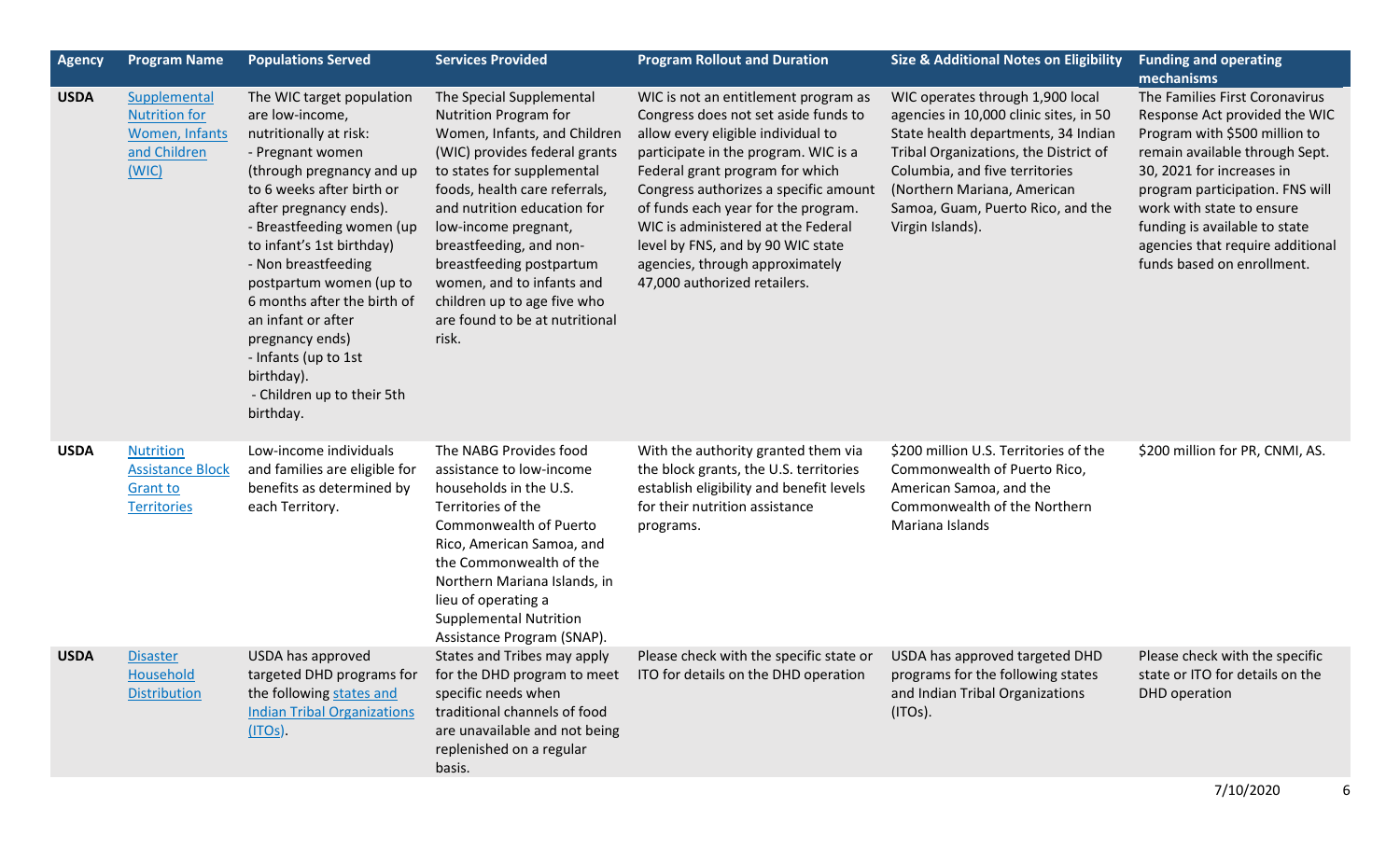| <b>Agency</b> | <b>Program Name</b>                                                                  | <b>Populations Served</b>                                                                                                                                                                                                                                                                                                                                                                                                                           | <b>Services Provided</b>                                                                                                                                                                                                                                                                                                                                                                                      | <b>Program Rollout and Duration</b>                                                                                                                                                                                                                                                                                                                                                                                         | <b>Size &amp; Additional Notes on Eligibility</b>                                                                                                                                                                                                                                    | <b>Funding and operating</b><br>mechanisms                                                                                                                                                                                                                                                                                         |
|---------------|--------------------------------------------------------------------------------------|-----------------------------------------------------------------------------------------------------------------------------------------------------------------------------------------------------------------------------------------------------------------------------------------------------------------------------------------------------------------------------------------------------------------------------------------------------|---------------------------------------------------------------------------------------------------------------------------------------------------------------------------------------------------------------------------------------------------------------------------------------------------------------------------------------------------------------------------------------------------------------|-----------------------------------------------------------------------------------------------------------------------------------------------------------------------------------------------------------------------------------------------------------------------------------------------------------------------------------------------------------------------------------------------------------------------------|--------------------------------------------------------------------------------------------------------------------------------------------------------------------------------------------------------------------------------------------------------------------------------------|------------------------------------------------------------------------------------------------------------------------------------------------------------------------------------------------------------------------------------------------------------------------------------------------------------------------------------|
| <b>USDA</b>   | Supplemental<br><b>Nutrition for</b><br>Women, Infants<br>and Children<br>(WIC)      | The WIC target population<br>are low-income,<br>nutritionally at risk:<br>- Pregnant women<br>(through pregnancy and up<br>to 6 weeks after birth or<br>after pregnancy ends).<br>- Breastfeeding women (up<br>to infant's 1st birthday)<br>- Non breastfeeding<br>postpartum women (up to<br>6 months after the birth of<br>an infant or after<br>pregnancy ends)<br>- Infants (up to 1st<br>birthday).<br>- Children up to their 5th<br>birthday. | The Special Supplemental<br><b>Nutrition Program for</b><br>Women, Infants, and Children<br>(WIC) provides federal grants<br>to states for supplemental<br>foods, health care referrals,<br>and nutrition education for<br>low-income pregnant,<br>breastfeeding, and non-<br>breastfeeding postpartum<br>women, and to infants and<br>children up to age five who<br>are found to be at nutritional<br>risk. | WIC is not an entitlement program as<br>Congress does not set aside funds to<br>allow every eligible individual to<br>participate in the program. WIC is a<br>Federal grant program for which<br>Congress authorizes a specific amount<br>of funds each year for the program.<br>WIC is administered at the Federal<br>level by FNS, and by 90 WIC state<br>agencies, through approximately<br>47,000 authorized retailers. | WIC operates through 1,900 local<br>agencies in 10,000 clinic sites, in 50<br>State health departments, 34 Indian<br>Tribal Organizations, the District of<br>Columbia, and five territories<br>(Northern Mariana, American<br>Samoa, Guam, Puerto Rico, and the<br>Virgin Islands). | The Families First Coronavirus<br>Response Act provided the WIC<br>Program with \$500 million to<br>remain available through Sept.<br>30, 2021 for increases in<br>program participation. FNS will<br>work with state to ensure<br>funding is available to state<br>agencies that require additional<br>funds based on enrollment. |
| <b>USDA</b>   | <b>Nutrition</b><br><b>Assistance Block</b><br><b>Grant to</b><br><b>Territories</b> | Low-income individuals<br>and families are eligible for<br>benefits as determined by<br>each Territory.                                                                                                                                                                                                                                                                                                                                             | The NABG Provides food<br>assistance to low-income<br>households in the U.S.<br>Territories of the<br>Commonwealth of Puerto<br>Rico, American Samoa, and<br>the Commonwealth of the<br>Northern Mariana Islands, in<br>lieu of operating a<br><b>Supplemental Nutrition</b><br>Assistance Program (SNAP).                                                                                                    | With the authority granted them via<br>the block grants, the U.S. territories<br>establish eligibility and benefit levels<br>for their nutrition assistance<br>programs.                                                                                                                                                                                                                                                    | \$200 million U.S. Territories of the<br>Commonwealth of Puerto Rico,<br>American Samoa, and the<br>Commonwealth of the Northern<br>Mariana Islands                                                                                                                                  | \$200 million for PR, CNMI, AS.                                                                                                                                                                                                                                                                                                    |
| <b>USDA</b>   | <b>Disaster</b><br>Household<br><b>Distribution</b>                                  | USDA has approved<br>targeted DHD programs for<br>the following states and<br><b>Indian Tribal Organizations</b><br>(ITOS).                                                                                                                                                                                                                                                                                                                         | States and Tribes may apply<br>specific needs when<br>traditional channels of food<br>are unavailable and not being<br>replenished on a regular<br>basis.                                                                                                                                                                                                                                                     | Please check with the specific state or<br>for the DHD program to meet ITO for details on the DHD operation                                                                                                                                                                                                                                                                                                                 | USDA has approved targeted DHD<br>programs for the following states<br>and Indian Tribal Organizations<br>(ITOS).                                                                                                                                                                    | Please check with the specific<br>state or ITO for details on the<br>DHD operation                                                                                                                                                                                                                                                 |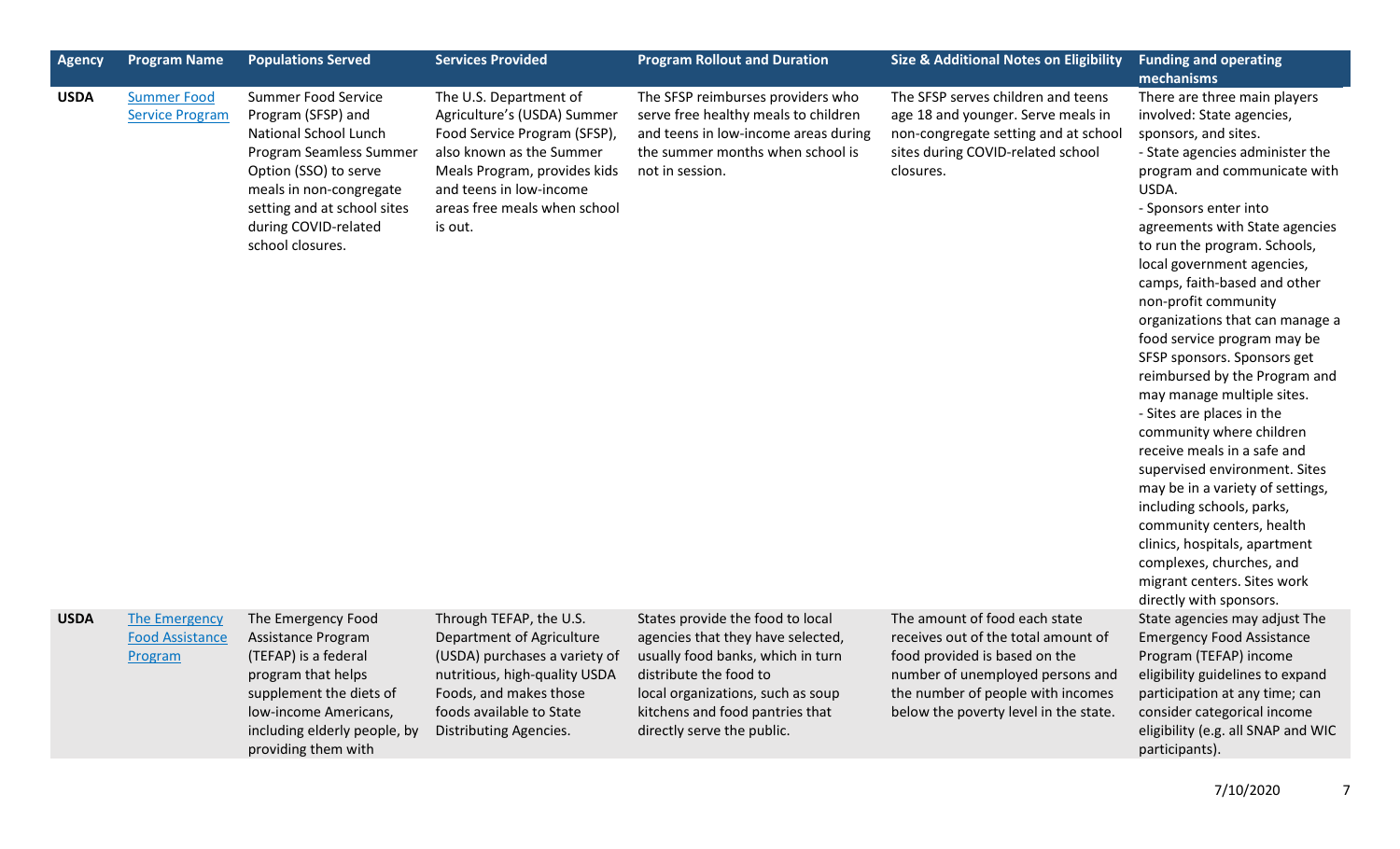| Agency      | <b>Program Name</b>                                | <b>Populations Served</b>                                                                                                                                                                                                                  | <b>Services Provided</b>                                                                                                                                                                                                | <b>Program Rollout and Duration</b>                                                                                                                                                                                                        | <b>Size &amp; Additional Notes on Eligibility</b>                                                                                                                                                                       | <b>Funding and operating</b><br>mechanisms                                                                                                                                                                                                                                                                                                                                                                                                                                                                                                                                                                                                                                                                                                                                                                                                                   |
|-------------|----------------------------------------------------|--------------------------------------------------------------------------------------------------------------------------------------------------------------------------------------------------------------------------------------------|-------------------------------------------------------------------------------------------------------------------------------------------------------------------------------------------------------------------------|--------------------------------------------------------------------------------------------------------------------------------------------------------------------------------------------------------------------------------------------|-------------------------------------------------------------------------------------------------------------------------------------------------------------------------------------------------------------------------|--------------------------------------------------------------------------------------------------------------------------------------------------------------------------------------------------------------------------------------------------------------------------------------------------------------------------------------------------------------------------------------------------------------------------------------------------------------------------------------------------------------------------------------------------------------------------------------------------------------------------------------------------------------------------------------------------------------------------------------------------------------------------------------------------------------------------------------------------------------|
| <b>USDA</b> | <b>Summer Food</b><br><b>Service Program</b>       | <b>Summer Food Service</b><br>Program (SFSP) and<br><b>National School Lunch</b><br>Program Seamless Summer<br>Option (SSO) to serve<br>meals in non-congregate<br>setting and at school sites<br>during COVID-related<br>school closures. | The U.S. Department of<br>Agriculture's (USDA) Summer<br>Food Service Program (SFSP),<br>also known as the Summer<br>Meals Program, provides kids<br>and teens in low-income<br>areas free meals when school<br>is out. | The SFSP reimburses providers who<br>serve free healthy meals to children<br>and teens in low-income areas during<br>the summer months when school is<br>not in session.                                                                   | The SFSP serves children and teens<br>age 18 and younger. Serve meals in<br>non-congregate setting and at school<br>sites during COVID-related school<br>closures.                                                      | There are three main players<br>involved: State agencies,<br>sponsors, and sites.<br>- State agencies administer the<br>program and communicate with<br>USDA.<br>- Sponsors enter into<br>agreements with State agencies<br>to run the program. Schools,<br>local government agencies,<br>camps, faith-based and other<br>non-profit community<br>organizations that can manage a<br>food service program may be<br>SFSP sponsors. Sponsors get<br>reimbursed by the Program and<br>may manage multiple sites.<br>- Sites are places in the<br>community where children<br>receive meals in a safe and<br>supervised environment. Sites<br>may be in a variety of settings,<br>including schools, parks,<br>community centers, health<br>clinics, hospitals, apartment<br>complexes, churches, and<br>migrant centers. Sites work<br>directly with sponsors. |
| <b>USDA</b> | The Emergency<br><b>Food Assistance</b><br>Program | The Emergency Food<br>Assistance Program<br>(TEFAP) is a federal<br>program that helps<br>supplement the diets of<br>low-income Americans,<br>including elderly people, by<br>providing them with                                          | Through TEFAP, the U.S.<br>Department of Agriculture<br>(USDA) purchases a variety of<br>nutritious, high-quality USDA<br>Foods, and makes those<br>foods available to State<br>Distributing Agencies.                  | States provide the food to local<br>agencies that they have selected,<br>usually food banks, which in turn<br>distribute the food to<br>local organizations, such as soup<br>kitchens and food pantries that<br>directly serve the public. | The amount of food each state<br>receives out of the total amount of<br>food provided is based on the<br>number of unemployed persons and<br>the number of people with incomes<br>below the poverty level in the state. | State agencies may adjust The<br><b>Emergency Food Assistance</b><br>Program (TEFAP) income<br>eligibility guidelines to expand<br>participation at any time; can<br>consider categorical income<br>eligibility (e.g. all SNAP and WIC<br>participants).                                                                                                                                                                                                                                                                                                                                                                                                                                                                                                                                                                                                     |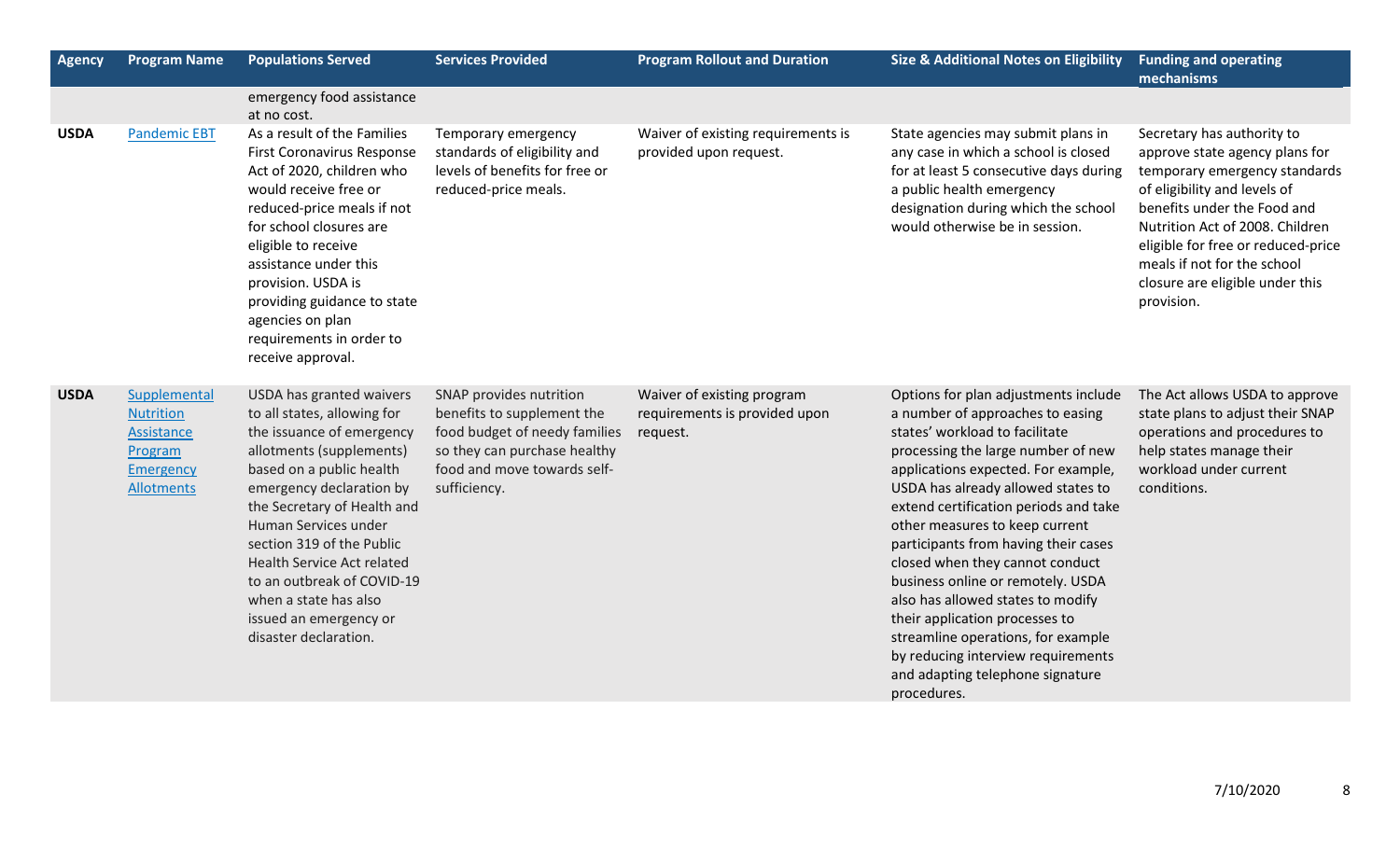| <b>Agency</b> | <b>Program Name</b>                                                                                | <b>Populations Served</b>                                                                                                                                                                                                                                                                                                                                                                                   | <b>Services Provided</b>                                                                                                                                              | <b>Program Rollout and Duration</b>                                     | <b>Size &amp; Additional Notes on Eligibility</b>                                                                                                                                                                                                                                                                                                                                                                                                                                                                                                                                                                              | <b>Funding and operating</b><br>mechanisms                                                                                                                                                                                                                                                                            |
|---------------|----------------------------------------------------------------------------------------------------|-------------------------------------------------------------------------------------------------------------------------------------------------------------------------------------------------------------------------------------------------------------------------------------------------------------------------------------------------------------------------------------------------------------|-----------------------------------------------------------------------------------------------------------------------------------------------------------------------|-------------------------------------------------------------------------|--------------------------------------------------------------------------------------------------------------------------------------------------------------------------------------------------------------------------------------------------------------------------------------------------------------------------------------------------------------------------------------------------------------------------------------------------------------------------------------------------------------------------------------------------------------------------------------------------------------------------------|-----------------------------------------------------------------------------------------------------------------------------------------------------------------------------------------------------------------------------------------------------------------------------------------------------------------------|
|               |                                                                                                    | emergency food assistance<br>at no cost.                                                                                                                                                                                                                                                                                                                                                                    |                                                                                                                                                                       |                                                                         |                                                                                                                                                                                                                                                                                                                                                                                                                                                                                                                                                                                                                                |                                                                                                                                                                                                                                                                                                                       |
| <b>USDA</b>   | <b>Pandemic EBT</b>                                                                                | As a result of the Families<br>First Coronavirus Response<br>Act of 2020, children who<br>would receive free or<br>reduced-price meals if not<br>for school closures are<br>eligible to receive<br>assistance under this<br>provision. USDA is<br>providing guidance to state<br>agencies on plan<br>requirements in order to<br>receive approval.                                                          | Temporary emergency<br>standards of eligibility and<br>levels of benefits for free or<br>reduced-price meals.                                                         | Waiver of existing requirements is<br>provided upon request.            | State agencies may submit plans in<br>any case in which a school is closed<br>for at least 5 consecutive days during<br>a public health emergency<br>designation during which the school<br>would otherwise be in session.                                                                                                                                                                                                                                                                                                                                                                                                     | Secretary has authority to<br>approve state agency plans for<br>temporary emergency standards<br>of eligibility and levels of<br>benefits under the Food and<br>Nutrition Act of 2008. Children<br>eligible for free or reduced-price<br>meals if not for the school<br>closure are eligible under this<br>provision. |
| <b>USDA</b>   | Supplemental<br><b>Nutrition</b><br>Assistance<br>Program<br><b>Emergency</b><br><b>Allotments</b> | USDA has granted waivers<br>to all states, allowing for<br>the issuance of emergency<br>allotments (supplements)<br>based on a public health<br>emergency declaration by<br>the Secretary of Health and<br>Human Services under<br>section 319 of the Public<br><b>Health Service Act related</b><br>to an outbreak of COVID-19<br>when a state has also<br>issued an emergency or<br>disaster declaration. | SNAP provides nutrition<br>benefits to supplement the<br>food budget of needy families<br>so they can purchase healthy<br>food and move towards self-<br>sufficiency. | Waiver of existing program<br>requirements is provided upon<br>request. | Options for plan adjustments include<br>a number of approaches to easing<br>states' workload to facilitate<br>processing the large number of new<br>applications expected. For example,<br>USDA has already allowed states to<br>extend certification periods and take<br>other measures to keep current<br>participants from having their cases<br>closed when they cannot conduct<br>business online or remotely. USDA<br>also has allowed states to modify<br>their application processes to<br>streamline operations, for example<br>by reducing interview requirements<br>and adapting telephone signature<br>procedures. | The Act allows USDA to approve<br>state plans to adjust their SNAP<br>operations and procedures to<br>help states manage their<br>workload under current<br>conditions.                                                                                                                                               |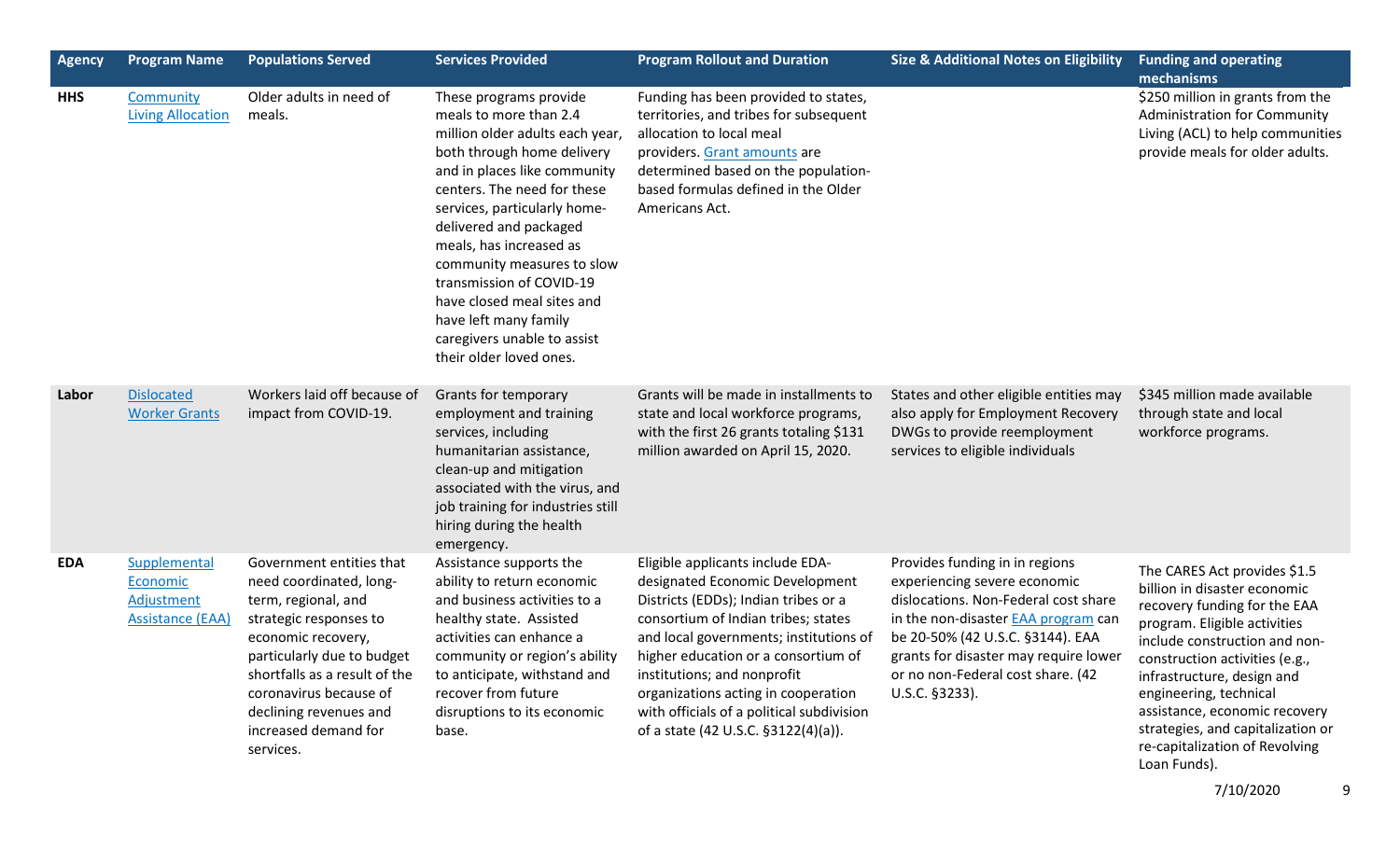| <b>Agency</b> | <b>Program Name</b>                                               | <b>Populations Served</b>                                                                                                                                                                                                                                                          | <b>Services Provided</b>                                                                                                                                                                                                                                                                                                                                                                                                                         | <b>Program Rollout and Duration</b>                                                                                                                                                                                                                                                                                                                                                           | <b>Size &amp; Additional Notes on Eligibility</b>                                                                                                                                                                                                                                        | <b>Funding and operating</b><br>mechanisms                                                                                                                                                                                                                                                                                                                                      |
|---------------|-------------------------------------------------------------------|------------------------------------------------------------------------------------------------------------------------------------------------------------------------------------------------------------------------------------------------------------------------------------|--------------------------------------------------------------------------------------------------------------------------------------------------------------------------------------------------------------------------------------------------------------------------------------------------------------------------------------------------------------------------------------------------------------------------------------------------|-----------------------------------------------------------------------------------------------------------------------------------------------------------------------------------------------------------------------------------------------------------------------------------------------------------------------------------------------------------------------------------------------|------------------------------------------------------------------------------------------------------------------------------------------------------------------------------------------------------------------------------------------------------------------------------------------|---------------------------------------------------------------------------------------------------------------------------------------------------------------------------------------------------------------------------------------------------------------------------------------------------------------------------------------------------------------------------------|
| <b>HHS</b>    | Community<br><b>Living Allocation</b>                             | Older adults in need of<br>meals.                                                                                                                                                                                                                                                  | These programs provide<br>meals to more than 2.4<br>million older adults each year,<br>both through home delivery<br>and in places like community<br>centers. The need for these<br>services, particularly home-<br>delivered and packaged<br>meals, has increased as<br>community measures to slow<br>transmission of COVID-19<br>have closed meal sites and<br>have left many family<br>caregivers unable to assist<br>their older loved ones. | Funding has been provided to states,<br>territories, and tribes for subsequent<br>allocation to local meal<br>providers. Grant amounts are<br>determined based on the population-<br>based formulas defined in the Older<br>Americans Act.                                                                                                                                                    |                                                                                                                                                                                                                                                                                          | \$250 million in grants from the<br><b>Administration for Community</b><br>Living (ACL) to help communities<br>provide meals for older adults.                                                                                                                                                                                                                                  |
| Labor         | <b>Dislocated</b><br><b>Worker Grants</b>                         | Workers laid off because of<br>impact from COVID-19.                                                                                                                                                                                                                               | Grants for temporary<br>employment and training<br>services, including<br>humanitarian assistance,<br>clean-up and mitigation<br>associated with the virus, and<br>job training for industries still<br>hiring during the health<br>emergency.                                                                                                                                                                                                   | Grants will be made in installments to<br>state and local workforce programs,<br>with the first 26 grants totaling \$131<br>million awarded on April 15, 2020.                                                                                                                                                                                                                                | States and other eligible entities may<br>also apply for Employment Recovery<br>DWGs to provide reemployment<br>services to eligible individuals                                                                                                                                         | \$345 million made available<br>through state and local<br>workforce programs.                                                                                                                                                                                                                                                                                                  |
| <b>EDA</b>    | Supplemental<br>Economic<br>Adjustment<br><b>Assistance (EAA)</b> | Government entities that<br>need coordinated, long-<br>term, regional, and<br>strategic responses to<br>economic recovery,<br>particularly due to budget<br>shortfalls as a result of the<br>coronavirus because of<br>declining revenues and<br>increased demand for<br>services. | Assistance supports the<br>ability to return economic<br>and business activities to a<br>healthy state. Assisted<br>activities can enhance a<br>community or region's ability<br>to anticipate, withstand and<br>recover from future<br>disruptions to its economic<br>base.                                                                                                                                                                     | Eligible applicants include EDA-<br>designated Economic Development<br>Districts (EDDs); Indian tribes or a<br>consortium of Indian tribes; states<br>and local governments; institutions of<br>higher education or a consortium of<br>institutions; and nonprofit<br>organizations acting in cooperation<br>with officials of a political subdivision<br>of a state (42 U.S.C. §3122(4)(a)). | Provides funding in in regions<br>experiencing severe economic<br>dislocations. Non-Federal cost share<br>in the non-disaster <b>EAA</b> program can<br>be 20-50% (42 U.S.C. §3144). EAA<br>grants for disaster may require lower<br>or no non-Federal cost share. (42<br>U.S.C. §3233). | The CARES Act provides \$1.5<br>billion in disaster economic<br>recovery funding for the EAA<br>program. Eligible activities<br>include construction and non-<br>construction activities (e.g.,<br>infrastructure, design and<br>engineering, technical<br>assistance, economic recovery<br>strategies, and capitalization or<br>re-capitalization of Revolving<br>Loan Funds). |